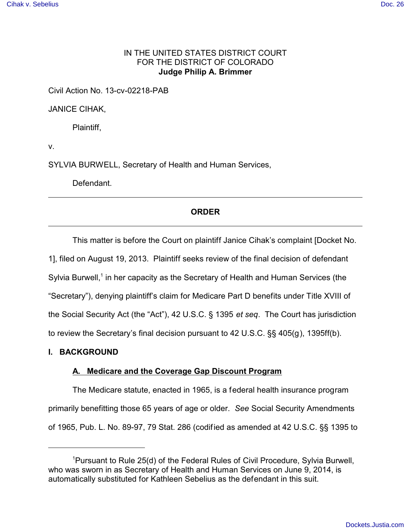# IN THE UNITED STATES DISTRICT COURT FOR THE DISTRICT OF COLORADO **Judge Philip A. Brimmer**

Civil Action No. 13-cv-02218-PAB

JANICE CIHAK,

Plaintiff,

v.

SYLVIA BURWELL, Secretary of Health and Human Services,

Defendant.

# **ORDER**

This matter is before the Court on plaintiff Janice Cihak's complaint [Docket No.

1], filed on August 19, 2013. Plaintiff seeks review of the final decision of defendant Sylvia Burwell,<sup>1</sup> in her capacity as the Secretary of Health and Human Services (the "Secretary"), denying plaintiff's claim for Medicare Part D benefits under Title XVIII of the Social Security Act (the "Act"), 42 U.S.C. § 1395 *et seq*. The Court has jurisdiction to review the Secretary's final decision pursuant to 42 U.S.C. §§ 405(g), 1395ff(b).

## **I. BACKGROUND**

## **A. Medicare and the Coverage Gap Discount Program**

The Medicare statute, enacted in 1965, is a federal health insurance program primarily benefitting those 65 years of age or older. *See* Social Security Amendments of 1965, Pub. L. No. 89-97, 79 Stat. 286 (codified as amended at 42 U.S.C. §§ 1395 to

<sup>1</sup>Pursuant to Rule 25(d) of the Federal Rules of Civil Procedure, Sylvia Burwell, who was sworn in as Secretary of Health and Human Services on June 9, 2014, is automatically substituted for Kathleen Sebelius as the defendant in this suit.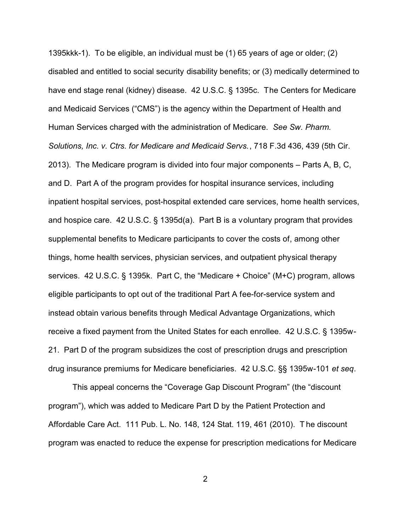1395kkk-1). To be eligible, an individual must be (1) 65 years of age or older; (2) disabled and entitled to social security disability benefits; or (3) medically determined to have end stage renal (kidney) disease. 42 U.S.C. § 1395c. The Centers for Medicare and Medicaid Services ("CMS") is the agency within the Department of Health and Human Services charged with the administration of Medicare. *See Sw. Pharm. Solutions, Inc. v. Ctrs. for Medicare and Medicaid Servs.*, 718 F.3d 436, 439 (5th Cir. 2013). The Medicare program is divided into four major components – Parts A, B, C, and D. Part A of the program provides for hospital insurance services, including inpatient hospital services, post-hospital extended care services, home health services, and hospice care. 42 U.S.C. § 1395d(a). Part B is a voluntary program that provides supplemental benefits to Medicare participants to cover the costs of, among other things, home health services, physician services, and outpatient physical therapy services. 42 U.S.C. § 1395k. Part C, the "Medicare + Choice" (M+C) program, allows eligible participants to opt out of the traditional Part A fee-for-service system and instead obtain various benefits through Medical Advantage Organizations, which receive a fixed payment from the United States for each enrollee. 42 U.S.C. § 1395w-21. Part D of the program subsidizes the cost of prescription drugs and prescription drug insurance premiums for Medicare beneficiaries. 42 U.S.C. §§ 1395w-101 *et seq*.

This appeal concerns the "Coverage Gap Discount Program" (the "discount program"), which was added to Medicare Part D by the Patient Protection and Affordable Care Act. 111 Pub. L. No. 148, 124 Stat. 119, 461 (2010). T he discount program was enacted to reduce the expense for prescription medications for Medicare

2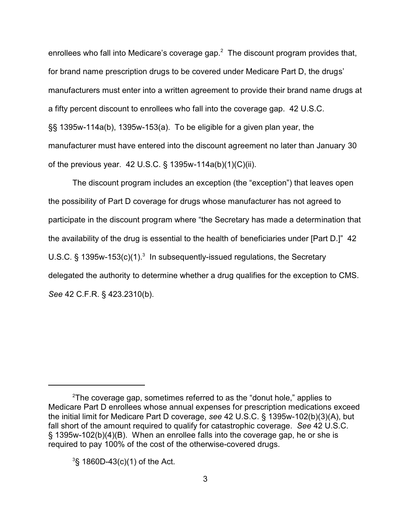enrollees who fall into Medicare's coverage gap.<sup>2</sup> The discount program provides that, for brand name prescription drugs to be covered under Medicare Part D, the drugs' manufacturers must enter into a written agreement to provide their brand name drugs at a fifty percent discount to enrollees who fall into the coverage gap. 42 U.S.C. §§ 1395w-114a(b), 1395w-153(a). To be eligible for a given plan year, the manufacturer must have entered into the discount agreement no later than January 30 of the previous year. 42 U.S.C. § 1395w-114a(b)(1)(C)(ii).

The discount program includes an exception (the "exception") that leaves open the possibility of Part D coverage for drugs whose manufacturer has not agreed to participate in the discount program where "the Secretary has made a determination that the availability of the drug is essential to the health of beneficiaries under [Part D.]" 42 U.S.C. § 1395w-153(c)(1). $3$  In subsequently-issued regulations, the Secretary delegated the authority to determine whether a drug qualifies for the exception to CMS. *See* 42 C.F.R. § 423.2310(b).

 $2^2$ The coverage gap, sometimes referred to as the "donut hole," applies to Medicare Part D enrollees whose annual expenses for prescription medications exceed the initial limit for Medicare Part D coverage, *see* 42 U.S.C. § 1395w-102(b)(3)(A), but fall short of the amount required to qualify for catastrophic coverage. *See* 42 U.S.C. § 1395w-102(b)(4)(B). When an enrollee falls into the coverage gap, he or she is required to pay 100% of the cost of the otherwise-covered drugs.

 $3$ § 1860D-43(c)(1) of the Act.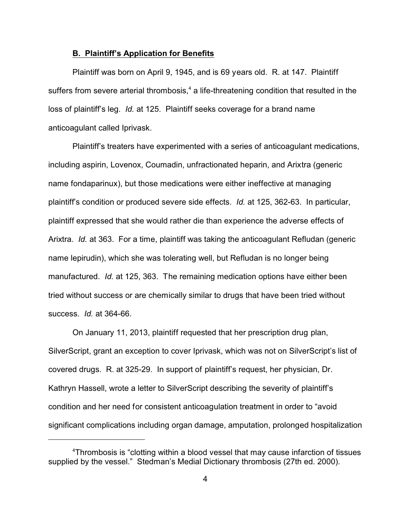#### **B. Plaintiff's Application for Benefits**

Plaintiff was born on April 9, 1945, and is 69 years old. R. at 147. Plaintiff suffers from severe arterial thrombosis, $^4$  a life-threatening condition that resulted in the loss of plaintiff's leg. *Id.* at 125. Plaintiff seeks coverage for a brand name anticoagulant called Iprivask.

Plaintiff's treaters have experimented with a series of anticoagulant medications, including aspirin, Lovenox, Coumadin, unfractionated heparin, and Arixtra (generic name fondaparinux), but those medications were either ineffective at managing plaintiff's condition or produced severe side effects. *Id.* at 125, 362-63. In particular, plaintiff expressed that she would rather die than experience the adverse effects of Arixtra. *Id.* at 363. For a time, plaintiff was taking the anticoagulant Refludan (generic name lepirudin), which she was tolerating well, but Refludan is no longer being manufactured. *Id.* at 125, 363. The remaining medication options have either been tried without success or are chemically similar to drugs that have been tried without success. *Id.* at 364-66.

On January 11, 2013, plaintiff requested that her prescription drug plan, SilverScript, grant an exception to cover Iprivask, which was not on SilverScript's list of covered drugs. R. at 325-29. In support of plaintiff's request, her physician, Dr. Kathryn Hassell, wrote a letter to SilverScript describing the severity of plaintiff's condition and her need for consistent anticoagulation treatment in order to "avoid significant complications including organ damage, amputation, prolonged hospitalization

<sup>&</sup>lt;sup>4</sup>Thrombosis is "clotting within a blood vessel that may cause infarction of tissues supplied by the vessel." Stedman's Medial Dictionary thrombosis (27th ed. 2000).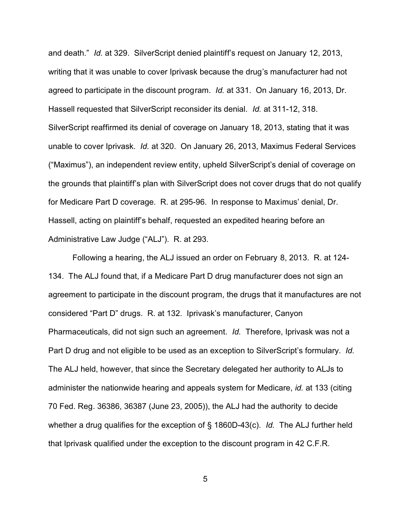and death." *Id.* at 329. SilverScript denied plaintiff's request on January 12, 2013, writing that it was unable to cover Iprivask because the drug's manufacturer had not agreed to participate in the discount program. *Id.* at 331. On January 16, 2013, Dr. Hassell requested that SilverScript reconsider its denial. *Id.* at 311-12, 318. SilverScript reaffirmed its denial of coverage on January 18, 2013, stating that it was unable to cover Iprivask. *Id.* at 320. On January 26, 2013, Maximus Federal Services ("Maximus"), an independent review entity, upheld SilverScript's denial of coverage on the grounds that plaintiff's plan with SilverScript does not cover drugs that do not qualify for Medicare Part D coverage. R. at 295-96. In response to Maximus' denial, Dr. Hassell, acting on plaintiff's behalf, requested an expedited hearing before an Administrative Law Judge ("ALJ"). R. at 293.

Following a hearing, the ALJ issued an order on February 8, 2013. R. at 124- 134. The ALJ found that, if a Medicare Part D drug manufacturer does not sign an agreement to participate in the discount program, the drugs that it manufactures are not considered "Part D" drugs. R. at 132. Iprivask's manufacturer, Canyon Pharmaceuticals, did not sign such an agreement. *Id.* Therefore, Iprivask was not a Part D drug and not eligible to be used as an exception to SilverScript's formulary. *Id.* The ALJ held, however, that since the Secretary delegated her authority to ALJs to administer the nationwide hearing and appeals system for Medicare, *id.* at 133 (citing 70 Fed. Reg. 36386, 36387 (June 23, 2005)), the ALJ had the authority to decide whether a drug qualifies for the exception of § 1860D-43(c). *Id.* The ALJ further held that Iprivask qualified under the exception to the discount program in 42 C.F.R.

5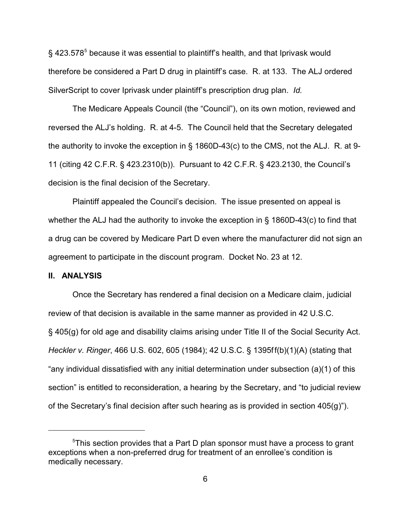$\S$  423.578 $^5$  because it was essential to plaintiff's health, and that Iprivask would therefore be considered a Part D drug in plaintiff's case. R. at 133. The ALJ ordered SilverScript to cover Iprivask under plaintiff's prescription drug plan. *Id.*

The Medicare Appeals Council (the "Council"), on its own motion, reviewed and reversed the ALJ's holding. R. at 4-5. The Council held that the Secretary delegated the authority to invoke the exception in § 1860D-43(c) to the CMS, not the ALJ. R. at 9- 11 (citing 42 C.F.R. § 423.2310(b)). Pursuant to 42 C.F.R. § 423.2130, the Council's decision is the final decision of the Secretary.

Plaintiff appealed the Council's decision. The issue presented on appeal is whether the ALJ had the authority to invoke the exception in § 1860D-43(c) to find that a drug can be covered by Medicare Part D even where the manufacturer did not sign an agreement to participate in the discount program. Docket No. 23 at 12.

#### **II. ANALYSIS**

Once the Secretary has rendered a final decision on a Medicare claim, judicial review of that decision is available in the same manner as provided in 42 U.S.C. § 405(g) for old age and disability claims arising under Title II of the Social Security Act. *Heckler v. Ringer*, 466 U.S. 602, 605 (1984); 42 U.S.C. § 1395ff(b)(1)(A) (stating that "any individual dissatisfied with any initial determination under subsection (a)(1) of this section" is entitled to reconsideration, a hearing by the Secretary, and "to judicial review of the Secretary's final decision after such hearing as is provided in section 405(g)").

 $5$ This section provides that a Part D plan sponsor must have a process to grant exceptions when a non-preferred drug for treatment of an enrollee's condition is medically necessary.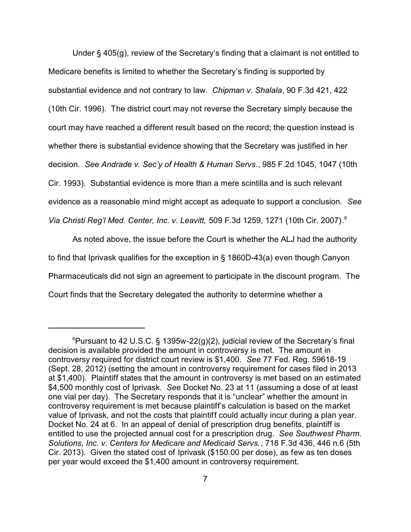Under § 405(g), review of the Secretary's finding that a claimant is not entitled to Medicare benefits is limited to whether the Secretary's finding is supported by substantial evidence and not contrary to law. *Chipman v. Shalala*, 90 F.3d 421, 422 (10th Cir. 1996). The district court may not reverse the Secretary simply because the court may have reached a different result based on the record; the question instead is whether there is substantial evidence showing that the Secretary was justified in her decision. *See Andrade v. Sec'y of Health & Human Servs*., 985 F.2d 1045, 1047 (10th Cir. 1993). Substantial evidence is more than a mere scintilla and is such relevant evidence as a reasonable mind might accept as adequate to support a conclusion. *See Via Christi Reg'l Med. Center, Inc. v. Leavitt,* 509 F.3d 1259, 1271 (10th Cir. 2007)*.* 6

As noted above, the issue before the Court is whether the ALJ had the authority to find that Iprivask qualifies for the exception in § 1860D-43(a) even though Canyon Pharmaceuticals did not sign an agreement to participate in the discount program. The Court finds that the Secretary delegated the authority to determine whether a

<sup>&</sup>lt;sup>6</sup>Pursuant to 42 U.S.C. § 1395w-22(g)(2), judicial review of the Secretary's final decision is available provided the amount in controversy is met. The amount in controversy required for district court review is \$1,400. *See* 77 Fed. Reg. 59618-19 (Sept. 28, 2012) (setting the amount in controversy requirement for cases filed in 2013 at \$1,400). Plaintiff states that the amount in controversy is met based on an estimated \$4,500 monthly cost of Iprivask. *See* Docket No. 23 at 11 (assuming a dose of at least one vial per day). The Secretary responds that it is "unclear" whether the amount in controversy requirement is met because plaintiff's calculation is based on the market value of Iprivask, and not the costs that plaintiff could actually incur during a plan year. Docket No. 24 at 6. In an appeal of denial of prescription drug benefits, plaintiff is entitled to use the projected annual cost for a prescription drug. *See Southwest Pharm. Solutions, Inc. v. Centers for Medicare and Medicaid Servs.*, 718 F.3d 436, 446 n.6 (5th Cir. 2013). Given the stated cost of Iprivask (\$150.00 per dose), as few as ten doses per year would exceed the \$1,400 amount in controversy requirement.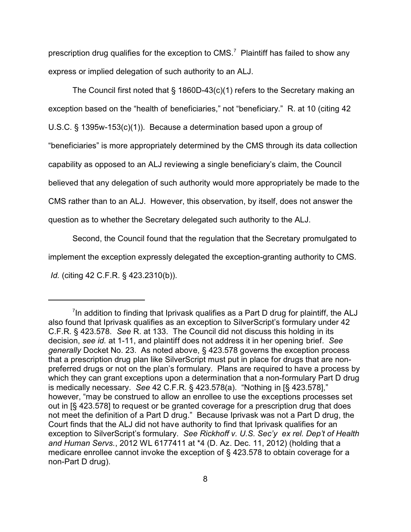prescription drug qualifies for the exception to CMS.<sup>7</sup> Plaintiff has failed to show any express or implied delegation of such authority to an ALJ.

The Council first noted that § 1860D-43(c)(1) refers to the Secretary making an exception based on the "health of beneficiaries," not "beneficiary." R. at 10 (citing 42 U.S.C. § 1395w-153(c)(1)). Because a determination based upon a group of "beneficiaries" is more appropriately determined by the CMS through its data collection capability as opposed to an ALJ reviewing a single beneficiary's claim, the Council believed that any delegation of such authority would more appropriately be made to the CMS rather than to an ALJ. However, this observation, by itself, does not answer the question as to whether the Secretary delegated such authority to the ALJ.

Second, the Council found that the regulation that the Secretary promulgated to implement the exception expressly delegated the exception-granting authority to CMS. *Id.* (citing 42 C.F.R. § 423.2310(b)).

 $\mathrm{^{7}}$ In addition to finding that Iprivask qualifies as a Part D drug for plaintiff, the ALJ also found that Iprivask qualifies as an exception to SilverScript's formulary under 42 C.F.R. § 423.578. *See* R. at 133. The Council did not discuss this holding in its decision, *see id.* at 1-11, and plaintiff does not address it in her opening brief. *See generally* Docket No. 23. As noted above, § 423.578 governs the exception process that a prescription drug plan like SilverScript must put in place for drugs that are nonpreferred drugs or not on the plan's formulary. Plans are required to have a process by which they can grant exceptions upon a determination that a non-formulary Part D drug is medically necessary. *See* 42 C.F.R. § 423.578(a). "Nothing in [§ 423.578]," however, "may be construed to allow an enrollee to use the exceptions processes set out in [§ 423.578] to request or be granted coverage for a prescription drug that does not meet the definition of a Part D drug." Because Iprivask was not a Part D drug, the Court finds that the ALJ did not have authority to find that Iprivask qualifies for an exception to SilverScript's formulary. *See Rickhoff v. U.S. Sec'y ex rel. Dep't of Health and Human Servs.*, 2012 WL 6177411 at \*4 (D. Az. Dec. 11, 2012) (holding that a medicare enrollee cannot invoke the exception of § 423.578 to obtain coverage for a non-Part D drug).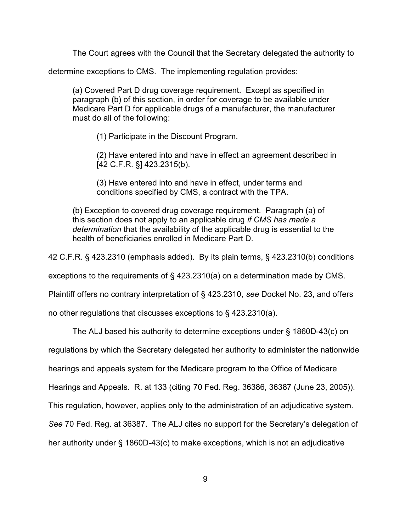The Court agrees with the Council that the Secretary delegated the authority to

determine exceptions to CMS. The implementing regulation provides:

(a) Covered Part D drug coverage requirement. Except as specified in paragraph (b) of this section, in order for coverage to be available under Medicare Part D for applicable drugs of a manufacturer, the manufacturer must do all of the following:

(1) Participate in the Discount Program.

(2) Have entered into and have in effect an agreement described in [42 C.F.R. §] 423.2315(b).

(3) Have entered into and have in effect, under terms and conditions specified by CMS, a contract with the TPA.

(b) Exception to covered drug coverage requirement. Paragraph (a) of this section does not apply to an applicable drug *if CMS has made a determination* that the availability of the applicable drug is essential to the health of beneficiaries enrolled in Medicare Part D.

42 C.F.R. § 423.2310 (emphasis added). By its plain terms, § 423.2310(b) conditions

exceptions to the requirements of § 423.2310(a) on a determination made by CMS.

Plaintiff offers no contrary interpretation of § 423.2310, *see* Docket No. 23, and offers

no other regulations that discusses exceptions to § 423.2310(a).

The ALJ based his authority to determine exceptions under § 1860D-43(c) on

regulations by which the Secretary delegated her authority to administer the nationwide

hearings and appeals system for the Medicare program to the Office of Medicare

Hearings and Appeals. R. at 133 (citing 70 Fed. Reg. 36386, 36387 (June 23, 2005)).

This regulation, however, applies only to the administration of an adjudicative system.

*See* 70 Fed. Reg. at 36387. The ALJ cites no support for the Secretary's delegation of

her authority under § 1860D-43(c) to make exceptions, which is not an adjudicative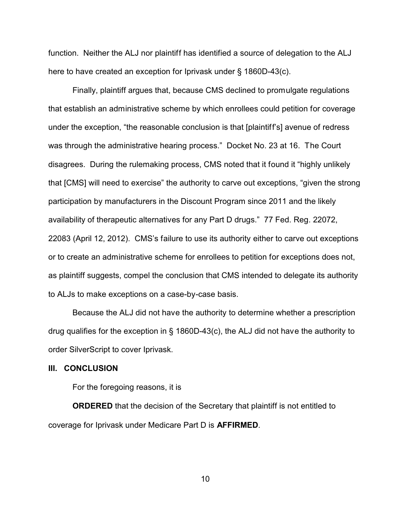function. Neither the ALJ nor plaintiff has identified a source of delegation to the ALJ here to have created an exception for Iprivask under § 1860D-43(c).

Finally, plaintiff argues that, because CMS declined to promulgate regulations that establish an administrative scheme by which enrollees could petition for coverage under the exception, "the reasonable conclusion is that [plaintiff's] avenue of redress was through the administrative hearing process." Docket No. 23 at 16. The Court disagrees. During the rulemaking process, CMS noted that it found it "highly unlikely that [CMS] will need to exercise" the authority to carve out exceptions, "given the strong participation by manufacturers in the Discount Program since 2011 and the likely availability of therapeutic alternatives for any Part D drugs." 77 Fed. Reg. 22072, 22083 (April 12, 2012). CMS's failure to use its authority either to carve out exceptions or to create an administrative scheme for enrollees to petition for exceptions does not, as plaintiff suggests, compel the conclusion that CMS intended to delegate its authority to ALJs to make exceptions on a case-by-case basis.

Because the ALJ did not have the authority to determine whether a prescription drug qualifies for the exception in § 1860D-43(c), the ALJ did not have the authority to order SilverScript to cover Iprivask.

#### **III. CONCLUSION**

For the foregoing reasons, it is

**ORDERED** that the decision of the Secretary that plaintiff is not entitled to coverage for Iprivask under Medicare Part D is **AFFIRMED**.

10